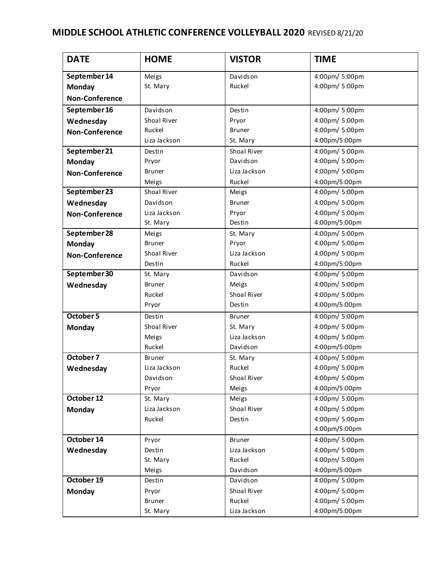## **MIDDLE SCHOOL ATHLETIC CONFERENCE VOLLEYBALL 2020** REVISED 8/21/20

|                       | <b>HOME</b>   |               | <b>TIME</b>    |
|-----------------------|---------------|---------------|----------------|
| <b>DATE</b>           |               | <b>VISTOR</b> |                |
| September 14          | Meigs         | Davidson      | 4:00pm/ 5:00pm |
| Monday                | St. Mary      | Ruckel        | 4:00pm/ 5:00pm |
| <b>Non-Conference</b> |               |               |                |
| September 16          | Davidson      | Destin        | 4:00pm/ 5:00pm |
| Wednesday             | Shoal River   | Pryor         | 4:00pm/ 5:00pm |
| <b>Non-Conference</b> | Ruckel        | <b>Bruner</b> | 4:00pm/ 5:00pm |
|                       | Liza Jackson  | St. Mary      | 4:00pm/5:00pm  |
| September 21          | Destin        | Shoal River   | 4:00pm/ 5:00pm |
| <b>Monday</b>         | Pryor         | Davidson      | 4:00pm/ 5:00pm |
| <b>Non-Conference</b> | <b>Bruner</b> | Liza Jackson  | 4:00pm/ 5:00pm |
|                       | Meigs         | Ruckel        | 4:00pm/5:00pm  |
| September 23          | Shoal River   | Meigs         | 4:00pm/ 5:00pm |
| Wednesday             | Davidson      | <b>Bruner</b> | 4:00pm/ 5:00pm |
| <b>Non-Conference</b> | Liza Jackson  | Pryor         | 4:00pm/ 5:00pm |
|                       | St. Mary      | Destin        | 4:00pm/5:00pm  |
| September 28          | Meigs         | St. Mary      | 4:00pm/ 5:00pm |
| Monday                | <b>Bruner</b> | Pryor         | 4:00pm/ 5:00pm |
| <b>Non-Conference</b> | Shoal River   | Liza Jackson  | 4:00pm/ 5:00pm |
|                       | Destin        | Ruckel        | 4:00pm/5:00pm  |
| September 30          | St. Mary      | Davidson      | 4:00pm/ 5:00pm |
| Wednesday             | <b>Bruner</b> | Meigs         | 4:00pm/ 5:00pm |
|                       | Ruckel        | Shoal River   | 4:00pm/ 5:00pm |
|                       | Pryor         | Destin        | 4:00pm/5:00pm  |
| October 5             | Destin        | <b>Bruner</b> | 4:00pm/ 5:00pm |
| <b>Monday</b>         | Shoal River   | St. Mary      | 4:00pm/ 5:00pm |
|                       | Meigs         | Liza Jackson  | 4:00pm/ 5:00pm |
|                       | Ruckel        | Davidson      | 4:00pm/5:00pm  |
| October 7             | <b>Bruner</b> | St. Mary      | 4:00pm/ 5:00pm |
| Wednesday             | Liza Jackson  | Ruckel        | 4:00pm/ 5:00pm |
|                       | Davidson      | Shoal River   | 4:00pm/ 5:00pm |
|                       | Pryor         | Meigs         | 4:00pm/5:00pm  |
| October 12            | St. Mary      | Meigs         | 4:00pm/ 5:00pm |
| Monday                | Liza Jackson  | Shoal River   | 4:00pm/ 5:00pm |
|                       | Ruckel        | Destin        | 4:00pm/ 5:00pm |
|                       |               |               | 4:00pm/5:00pm  |
| October 14            | Pryor         | <b>Bruner</b> | 4:00pm/ 5:00pm |
| Wednesday             | Destin        | Liza Jackson  | 4:00pm/ 5:00pm |
|                       | St. Mary      | Ruckel        | 4:00pm/ 5:00pm |
|                       | Meigs         | Davidson      | 4:00pm/5:00pm  |
| October 19            | Destin        | Davidson      | 4:00pm/ 5:00pm |
| Monday                | Pryor         | Shoal River   | 4:00pm/ 5:00pm |
|                       | <b>Bruner</b> | Ruckel        | 4:00pm/ 5:00pm |
|                       | St. Mary      | Liza Jackson  | 4:00pm/5:00pm  |